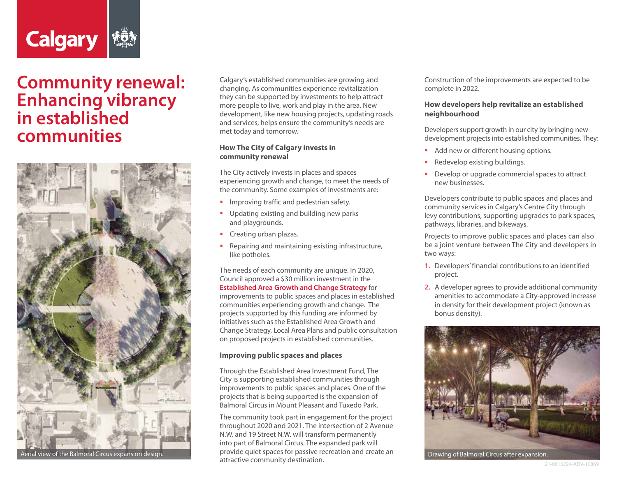

# **Community renewal: Enhancing vibrancy in established communities**



Calgary's established communities are growing and changing. As communities experience revitalization they can be supported by investments to help attract more people to live, work and play in the area. New development, like new housing projects, updating roads and services, helps ensure the community's needs are met today and tomorrow.

### **How The City of Calgary invests in community renewal**

The City actively invests in places and spaces experiencing growth and change, to meet the needs of the community. Some examples of investments are:

- **IMPROPICE 19 Improving traffic and pedestrian safety.**
- Updating existing and building new parks and playgrounds.
- Creating urban plazas.
- **Repairing and maintaining existing infrastructure,** like potholes.

The needs of each community are unique. In 2020, Council approved a \$30 million investment in the **[Established Area Growth and Change Strategy](https://www.calgary.ca/pda/pd/current-studies-and-ongoing-activities/established-areas-growth-and-change-strategy.html?redirect=/establishedarea)** for improvements to public spaces and places in established communities experiencing growth and change. The projects supported by this funding are informed by initiatives such as the Established Area Growth and Change Strategy, Local Area Plans and public consultation on proposed projects in established communities.

### **Improving public spaces and places**

Through the Established Area Investment Fund, The City is supporting established communities through improvements to public spaces and places. One of the projects that is being supported is the expansion of Balmoral Circus in Mount Pleasant and Tuxedo Park.

The community took part in engagement for the project throughout 2020 and 2021. The intersection of 2 Avenue N.W. and 19 Street N.W. will transform permanently into part of Balmoral Circus. The expanded park will provide quiet spaces for passive recreation and create an attractive community destination. erial view of the Balmoral Circus expansion design. Drawing the Drovide quiet spaces for passive recreation and create an and Drawing of Balmoral Circus after expansion.

Construction of the improvements are expected to be complete in 2022.

## **How developers help revitalize an established neighbourhood**

Developers support growth in our city by bringing new development projects into established communities. They:

- Add new or different housing options.
- Redevelop existing buildings.
- Develop or upgrade commercial spaces to attract new businesses.

Developers contribute to public spaces and places and community services in Calgary's Centre City through levy contributions, supporting upgrades to park spaces, pathways, libraries, and bikeways.

Projects to improve public spaces and places can also be a joint venture between The City and developers in two ways:

- **1.** Developers' financial contributions to an identified project.
- **2.** A developer agrees to provide additional community amenities to accommodate a City-approved increase in density for their development project (known as bonus density).